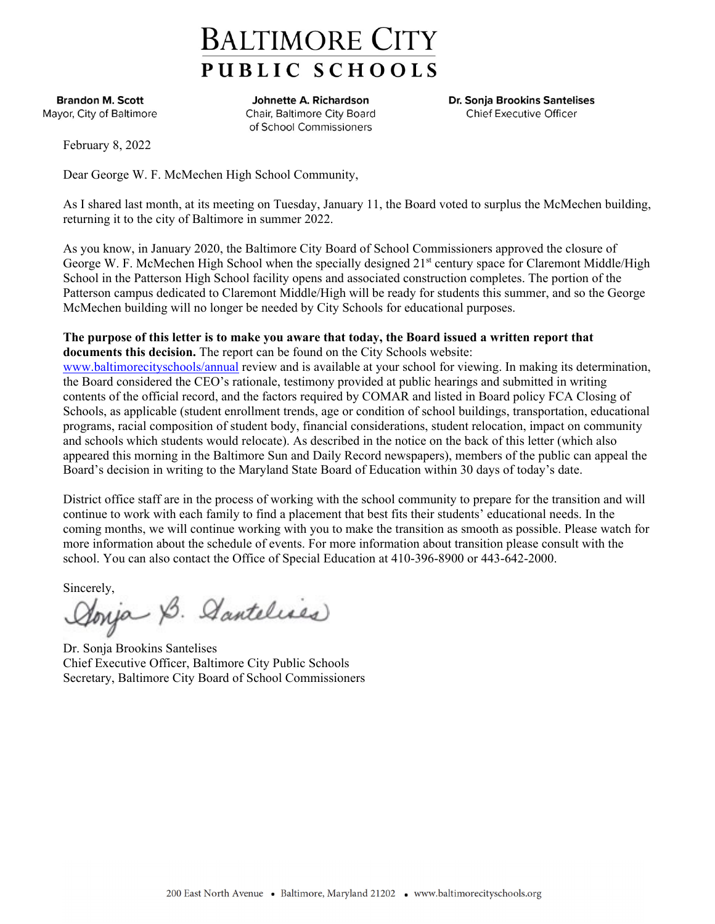## **BALTIMORE CITY** PUBLIC SCHOOLS

**Brandon M. Scott** Mayor, City of Baltimore

Johnette A. Richardson Chair, Baltimore City Board of School Commissioners

Dr. Sonja Brookins Santelises **Chief Executive Officer** 

February 8, 2022

Dear George W. F. McMechen High School Community,

As I shared last month, at its meeting on Tuesday, January 11, the Board voted to surplus the McMechen building, returning it to the city of Baltimore in summer 2022.

As you know, in January 2020, the Baltimore City Board of School Commissioners approved the closure of George W. F. McMechen High School when the specially designed 21<sup>st</sup> century space for Claremont Middle/High School in the Patterson High School facility opens and associated construction completes. The portion of the Patterson campus dedicated to Claremont Middle/High will be ready for students this summer, and so the George McMechen building will no longer be needed by City Schools for educational purposes.

## **The purpose of this letter is to make you aware that today, the Board issued a written report that documents this decision.** The report can be found on the City Schools website:

www.baltimorecityschools/annual review and is available at your school for viewing. In making its determination, the Board considered the CEO's rationale, testimony provided at public hearings and submitted in writing contents of the official record, and the factors required by COMAR and listed in Board policy FCA Closing of Schools, as applicable (student enrollment trends, age or condition of school buildings, transportation, educational programs, racial composition of student body, financial considerations, student relocation, impact on community and schools which students would relocate). As described in the notice on the back of this letter (which also appeared this morning in the Baltimore Sun and Daily Record newspapers), members of the public can appeal the Board's decision in writing to the Maryland State Board of Education within 30 days of today's date.

District office staff are in the process of working with the school community to prepare for the transition and will continue to work with each family to find a placement that best fits their students' educational needs. In the coming months, we will continue working with you to make the transition as smooth as possible. Please watch for more information about the schedule of events. For more information about transition please consult with the school. You can also contact the Office of Special Education at 410-396-8900 or 443-642-2000.

Sincerely,<br>Aonja B. Aantelises

Dr. Sonja Brookins Santelises Chief Executive Officer, Baltimore City Public Schools Secretary, Baltimore City Board of School Commissioners